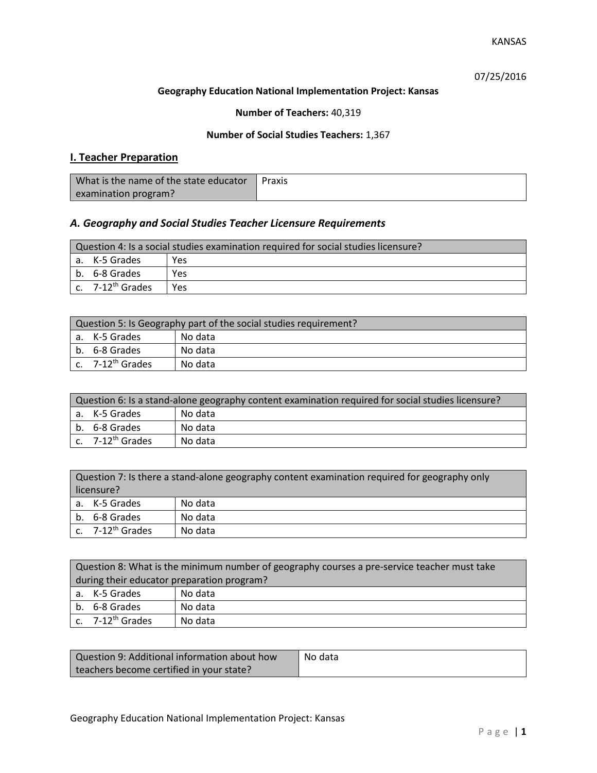07/25/2016

### **Geography Education National Implementation Project: Kansas**

### **Number of Teachers:** 40,319

### **Number of Social Studies Teachers:** 1,367

## **I. Teacher Preparation**

| What is the name of the state educator | Praxis |
|----------------------------------------|--------|
| examination program?                   |        |

## *A. Geography and Social Studies Teacher Licensure Requirements*

| Question 4: Is a social studies examination required for social studies licensure? |                                |     |
|------------------------------------------------------------------------------------|--------------------------------|-----|
|                                                                                    | l a. K-5 Grades                | Yes |
|                                                                                    | b. 6-8 Grades                  | Yes |
|                                                                                    | $c.$ 7-12 <sup>th</sup> Grades | Yes |

| Question 5: Is Geography part of the social studies requirement? |                              |         |
|------------------------------------------------------------------|------------------------------|---------|
|                                                                  | a. K-5 Grades                | No data |
|                                                                  | b. 6-8 Grades                | No data |
|                                                                  | c. 7-12 <sup>th</sup> Grades | No data |

| Question 6: Is a stand-alone geography content examination required for social studies licensure? |         |  |
|---------------------------------------------------------------------------------------------------|---------|--|
| a. K-5 Grades                                                                                     | No data |  |
| b. 6-8 Grades                                                                                     | No data |  |
| c. 7-12 <sup>th</sup> Grades                                                                      | No data |  |

|            | Question 7: Is there a stand-alone geography content examination required for geography only |         |  |
|------------|----------------------------------------------------------------------------------------------|---------|--|
| licensure? |                                                                                              |         |  |
|            | a. K-5 Grades                                                                                | No data |  |
|            | b. 6-8 Grades                                                                                | No data |  |
|            | c. 7-12 <sup>th</sup> Grades                                                                 | No data |  |

|                                            | Question 8: What is the minimum number of geography courses a pre-service teacher must take |         |  |
|--------------------------------------------|---------------------------------------------------------------------------------------------|---------|--|
| during their educator preparation program? |                                                                                             |         |  |
|                                            | a. K-5 Grades                                                                               | No data |  |
|                                            | b. 6-8 Grades                                                                               | No data |  |
|                                            | $\vert$ c. 7-12 <sup>th</sup> Grades                                                        | No data |  |

| Question 9: Additional information about how | No data |
|----------------------------------------------|---------|
| teachers become certified in your state?     |         |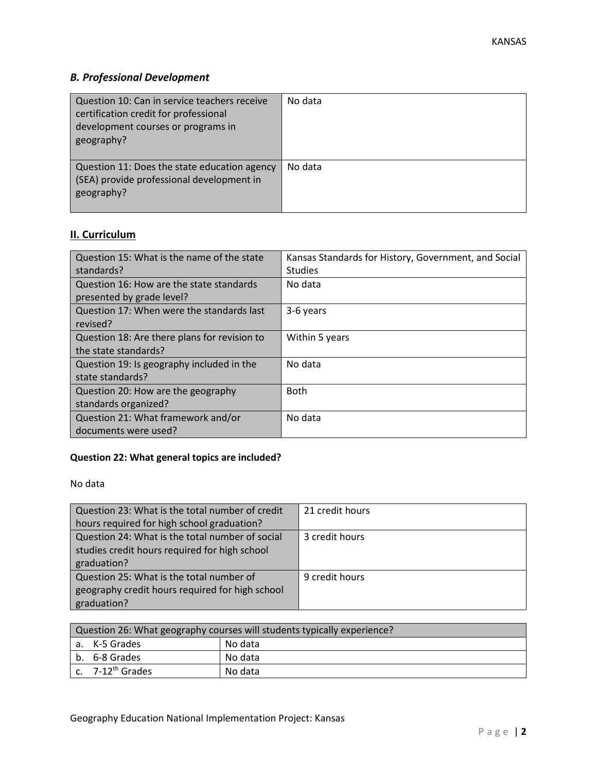# *B. Professional Development*

| Question 10: Can in service teachers receive<br>certification credit for professional<br>development courses or programs in<br>geography? | No data |
|-------------------------------------------------------------------------------------------------------------------------------------------|---------|
| Question 11: Does the state education agency<br>(SEA) provide professional development in<br>geography?                                   | No data |

# **II. Curriculum**

| Question 15: What is the name of the state   | Kansas Standards for History, Government, and Social |
|----------------------------------------------|------------------------------------------------------|
| standards?                                   | <b>Studies</b>                                       |
| Question 16: How are the state standards     | No data                                              |
| presented by grade level?                    |                                                      |
| Question 17: When were the standards last    | 3-6 years                                            |
| revised?                                     |                                                      |
| Question 18: Are there plans for revision to | Within 5 years                                       |
| the state standards?                         |                                                      |
| Question 19: Is geography included in the    | No data                                              |
| state standards?                             |                                                      |
| Question 20: How are the geography           | <b>Both</b>                                          |
| standards organized?                         |                                                      |
| Question 21: What framework and/or           | No data                                              |
| documents were used?                         |                                                      |

## **Question 22: What general topics are included?**

No data

| Question 23: What is the total number of credit | 21 credit hours |
|-------------------------------------------------|-----------------|
| hours required for high school graduation?      |                 |
| Question 24: What is the total number of social | 3 credit hours  |
| studies credit hours required for high school   |                 |
| graduation?                                     |                 |
| Question 25: What is the total number of        | 9 credit hours  |
| geography credit hours required for high school |                 |
| graduation?                                     |                 |

| Question 26: What geography courses will students typically experience? |                              |         |  |  |
|-------------------------------------------------------------------------|------------------------------|---------|--|--|
|                                                                         | No data<br>l a. K-5 Grades   |         |  |  |
|                                                                         | b. 6-8 Grades                | No data |  |  |
|                                                                         | c. 7-12 <sup>th</sup> Grades | No data |  |  |